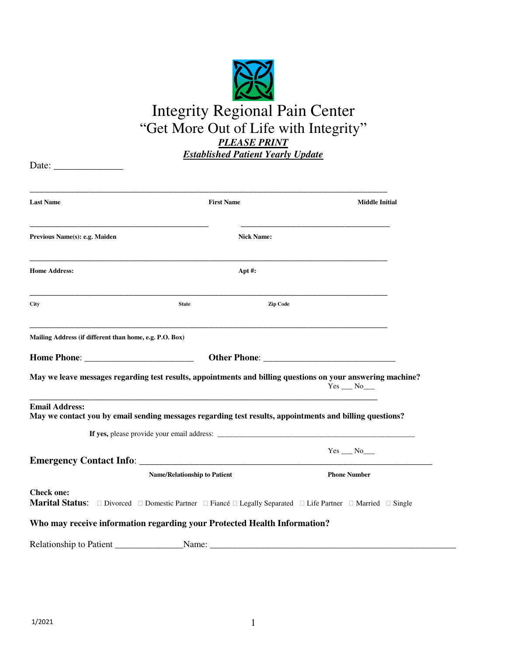

| Date:                                                                                                                             |                                     |                   |                       |
|-----------------------------------------------------------------------------------------------------------------------------------|-------------------------------------|-------------------|-----------------------|
| <b>Last Name</b>                                                                                                                  | <b>First Name</b>                   |                   | <b>Middle Initial</b> |
| Previous Name(s): e.g. Maiden                                                                                                     |                                     | <b>Nick Name:</b> |                       |
| <b>Home Address:</b>                                                                                                              |                                     | Apt $#$ :         |                       |
| <b>City</b>                                                                                                                       | <b>State</b>                        | Zip Code          |                       |
| Mailing Address (if different than home, e.g. P.O. Box)                                                                           |                                     |                   |                       |
|                                                                                                                                   |                                     |                   |                       |
| May we leave messages regarding test results, appointments and billing questions on your answering machine?                       |                                     |                   | $Yes$ __ $No$ __      |
| <b>Email Address:</b><br>May we contact you by email sending messages regarding test results, appointments and billing questions? |                                     |                   |                       |
|                                                                                                                                   |                                     |                   |                       |
|                                                                                                                                   |                                     |                   | $Yes$ __ $No$ ___     |
|                                                                                                                                   | <b>Name/Relationship to Patient</b> |                   | <b>Phone Number</b>   |
| <b>Check one:</b><br>Marital Status: □ Divorced □ Domestic Partner □ Fiancé □ Legally Separated □ Life Partner □ Married □ Single |                                     |                   |                       |
| Who may receive information regarding your Protected Health Information?                                                          |                                     |                   |                       |
| Relationship to Patient                                                                                                           | Name:                               |                   |                       |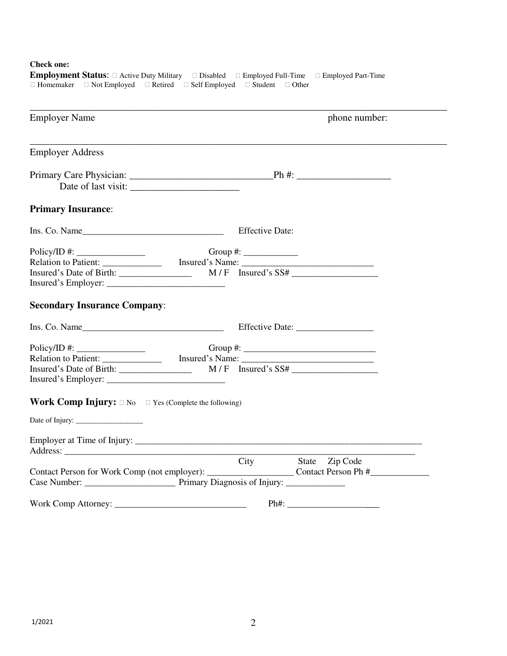**Check one:** 

| <b>Employer Name</b>                                                   | phone number:                                           |  |  |  |
|------------------------------------------------------------------------|---------------------------------------------------------|--|--|--|
| <b>Employer Address</b>                                                |                                                         |  |  |  |
|                                                                        |                                                         |  |  |  |
| <b>Primary Insurance:</b>                                              |                                                         |  |  |  |
| Ins. Co. Name                                                          | <b>Effective Date:</b>                                  |  |  |  |
|                                                                        | Group #: $\frac{2}{\sqrt{2\pi}}$<br>$M/F$ Insured's SS# |  |  |  |
| <b>Secondary Insurance Company:</b>                                    |                                                         |  |  |  |
| Ins. Co. Name                                                          |                                                         |  |  |  |
|                                                                        |                                                         |  |  |  |
| <b>Work Comp Injury:</b> $\Box$ No $\Box$ Yes (Complete the following) |                                                         |  |  |  |
|                                                                        |                                                         |  |  |  |
|                                                                        |                                                         |  |  |  |
|                                                                        | City<br>State Zip Code                                  |  |  |  |
|                                                                        |                                                         |  |  |  |

Employment Status:  $\Box$  Active Duty Military  $\Box$  Disabled  $\Box$  Employed Full-Time  $\Box$  Employed Part-Time  $\Box$  Homemaker  $\Box$  Not Employed  $\Box$  Retired  $\Box$  Self Employed  $\Box$  Student  $\Box$  Other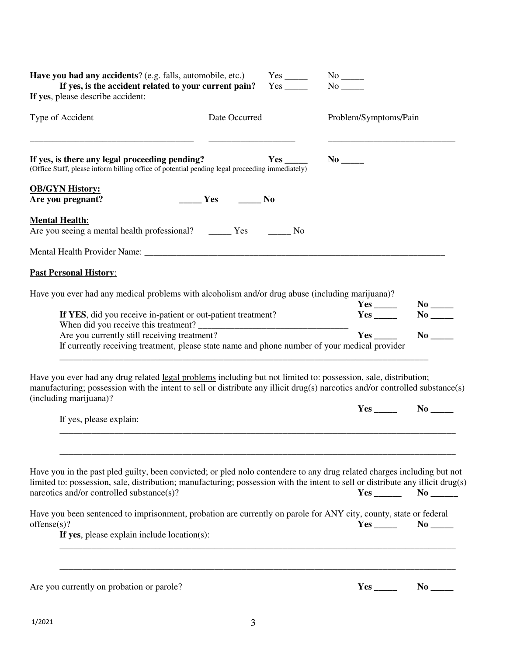| Have you had any accidents? (e.g. falls, automobile, etc.)<br>If yes, is the accident related to your current pain?<br>If yes, please describe accident:                                                                                                                                                |               | $Yes$ <sub>______</sub> |                                   |                        |
|---------------------------------------------------------------------------------------------------------------------------------------------------------------------------------------------------------------------------------------------------------------------------------------------------------|---------------|-------------------------|-----------------------------------|------------------------|
| Type of Accident                                                                                                                                                                                                                                                                                        | Date Occurred |                         | Problem/Symptoms/Pain             |                        |
| If yes, is there any legal proceeding pending?<br>(Office Staff, please inform billing office of potential pending legal proceeding immediately)                                                                                                                                                        |               | Yes                     | $No$ <sub>______</sub>            |                        |
| <b>OB/GYN History:</b>                                                                                                                                                                                                                                                                                  |               |                         |                                   |                        |
| Are you pregnant?                                                                                                                                                                                                                                                                                       | Yes No        |                         |                                   |                        |
| <b>Mental Health:</b><br>Are you seeing a mental health professional? _________ Yes                                                                                                                                                                                                                     |               | No.                     |                                   |                        |
|                                                                                                                                                                                                                                                                                                         |               |                         |                                   |                        |
| <b>Past Personal History:</b>                                                                                                                                                                                                                                                                           |               |                         |                                   |                        |
| Have you ever had any medical problems with alcoholism and/or drug abuse (including marijuana)?                                                                                                                                                                                                         |               |                         |                                   | $No$ <sub>______</sub> |
| If YES, did you receive in-patient or out-patient treatment?                                                                                                                                                                                                                                            |               |                         |                                   | $\bf{No}$              |
|                                                                                                                                                                                                                                                                                                         |               |                         |                                   | $\bf{No}$              |
| Are you currently still receiving treatment?<br>If currently receiving treatment, please state name and phone number of your medical provider                                                                                                                                                           |               |                         | Yes                               |                        |
| Have you ever had any drug related legal problems including but not limited to: possession, sale, distribution;<br>manufacturing; possession with the intent to sell or distribute any illicit drug(s) narcotics and/or controlled substance(s)<br>(including marijuana)?                               |               |                         |                                   |                        |
|                                                                                                                                                                                                                                                                                                         |               |                         |                                   |                        |
| If yes, please explain:                                                                                                                                                                                                                                                                                 |               |                         |                                   |                        |
| Have you in the past pled guilty, been convicted; or pled nolo contendere to any drug related charges including but not<br>limited to: possession, sale, distribution; manufacturing; possession with the intent to sell or distribute any illicit drug(s)<br>narcotics and/or controlled substance(s)? |               |                         |                                   | $Yes$ No $No$          |
| Have you been sentenced to imprisonment, probation are currently on parole for ANY city, county, state or federal<br>offense(s)?                                                                                                                                                                        |               |                         | $Yes \_\_\_\_\\$ No $\_\_\_\_\_\$ |                        |
| If yes, please explain include location(s):                                                                                                                                                                                                                                                             |               |                         |                                   |                        |
|                                                                                                                                                                                                                                                                                                         |               |                         |                                   |                        |
| Are you currently on probation or parole?                                                                                                                                                                                                                                                               |               |                         |                                   |                        |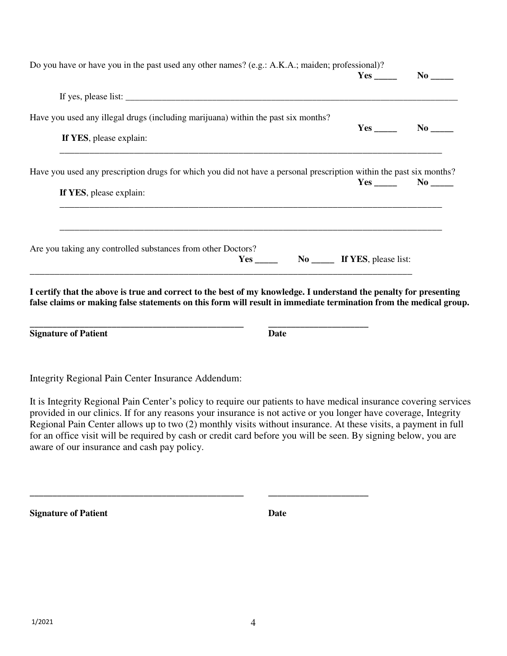| Do you have or have you in the past used any other names? (e.g.: A.K.A.; maiden; professional)?                     | $Yes$ No $No$ |  |
|---------------------------------------------------------------------------------------------------------------------|---------------|--|
|                                                                                                                     |               |  |
| Have you used any illegal drugs (including marijuana) within the past six months?                                   |               |  |
| If YES, please explain:                                                                                             | $Yes$ No $No$ |  |
| Have you used any prescription drugs for which you did not have a personal prescription within the past six months? |               |  |
| If YES, please explain:                                                                                             | $Yes$ No $No$ |  |

Integrity Regional Pain Center Insurance Addendum:

**Signature of Patient Date Construction Date** 

It is Integrity Regional Pain Center's policy to require our patients to have medical insurance covering services provided in our clinics. If for any reasons your insurance is not active or you longer have coverage, Integrity Regional Pain Center allows up to two (2) monthly visits without insurance. At these visits, a payment in full for an office visit will be required by cash or credit card before you will be seen. By signing below, you are aware of our insurance and cash pay policy.

**\_\_\_\_\_\_\_\_\_\_\_\_\_\_\_\_\_\_\_\_\_\_\_\_\_\_\_\_\_\_\_\_\_\_\_\_\_\_\_\_\_\_\_\_\_\_\_ \_\_\_\_\_\_\_\_\_\_\_\_\_\_\_\_\_\_\_\_\_\_** 

**Signature of Patient Date 2018**